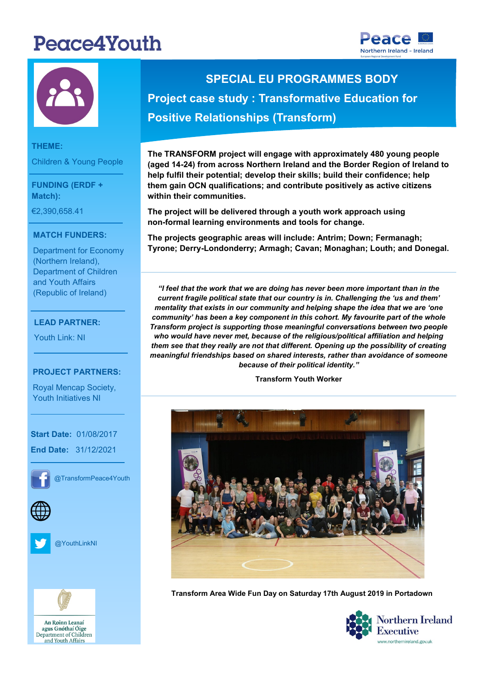# Peace4Youth





#### **THEME:** Children & Young People

**FUNDING (ERDF + Match):** 

€2,390,658.41

#### **THEME: MATCH FUNDERS:**

Department for Economy (Northern Ireland), and Youth Affairs Department of Children (Republic of Ireland)

### **FUNDING:** €7,727,271.20 **LEAD PARTNER:**

Youth Link: NI

#### - Norther Ireland **PROJECT PARTNERS:**

Youth Initiatives NI Royal Mencap Society,

- The South West

**Start Date: 01/08/2017 End Date:** 31/12/2021

**PROJECT CONTACT:**



@TransformPeace4Youth







agus Gnóthaí Óige Department of Children and Youth Affairs

## **SPECIAL EU PROGRAMMES BODY Project case study : Transformative Education for Positive Relationships (Transform)**

**The TRANSFORM project will engage with approximately 480 young people (aged 14-24) from across Northern Ireland and the Border Region of Ireland to help fulfil their potential; develop their skills; build their confidence; help them gain OCN qualifications; and contribute positively as active citizens within their communities.** 

**The project will be delivered through a youth work approach using non-formal learning environments and tools for change.**

**The projects geographic areas will include: Antrim; Down; Fermanagh; Tyrone; Derry-Londonderry; Armagh; Cavan; Monaghan; Louth; and Donegal.**

*"I feel that the work that we are doing has never been more important than in the current fragile political state that our country is in. Challenging the 'us and them' mentality that exists in our community and helping shape the idea that we are 'one community' has been a key component in this cohort. My favourite part of the whole Transform project is supporting those meaningful conversations between two people who would have never met, because of the religious/political affiliation and helping them see that they really are not that different. Opening up the possibility of creating meaningful friendships based on shared interests, rather than avoidance of someone because of their political identity."*

**Transform Youth Worker** 



**Transform Area Wide Fun Day on Saturday 17th August 2019 in Portadown**